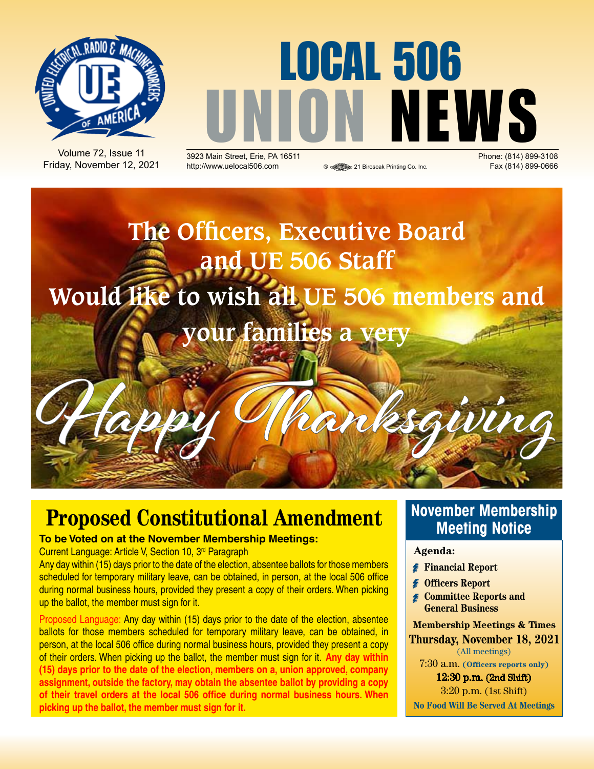

Volume 72, Issue 11 Friday, November 12, 2021

# LOCAL 506 **UNION SPACE (814) 899-3108**

**2923 Main Street, Erie, PA 16511 Depending to the Street, Erie, PA 16511 Phone: (814) 899-3108**<br>Phone: (814) 899-0666 **Printing Co. Inc.** Fax (814) 899-0666 http://www.uelocal506.com <br>
® <sup>@</sup> 21 Biroscak Printing Co. Inc.



### **Proposed Constitutional Amendment**

#### **To be Voted on at the November Membership Meetings:**

Current Language: Article V, Section 10, 3rd Paragraph

Any day within (15) days prior to the date of the election, absentee ballots for those members scheduled for temporary military leave, can be obtained, in person, at the local 506 office during normal business hours, provided they present a copy of their orders. When picking up the ballot, the member must sign for it.

Proposed Language: Any day within (15) days prior to the date of the election, absentee ballots for those members scheduled for temporary military leave, can be obtained, in person, at the local 506 office during normal business hours, provided they present a copy of their orders. When picking up the ballot, the member must sign for it. **Any day within (15) days prior to the date of the election, members on a, union approved, company assignment, outside the factory, may obtain the absentee ballot by providing a copy of their travel orders at the local 506 office during normal business hours. When picking up the ballot, the member must sign for it.**

#### **November Membership Meeting Notice**

#### **Agenda:**

- **Financial Report**
- **Officers Report**
- *Committee Reports and* **General Business**

**Membership Meetings & Times Thursday, November 18, 2021** (All meetings)

7:30 a.m. **(Officers reports only)**

12:30 p.m. (2nd Shift) 3:20 p.m. (1st Shift)

**No Food Will Be Served At Meetings**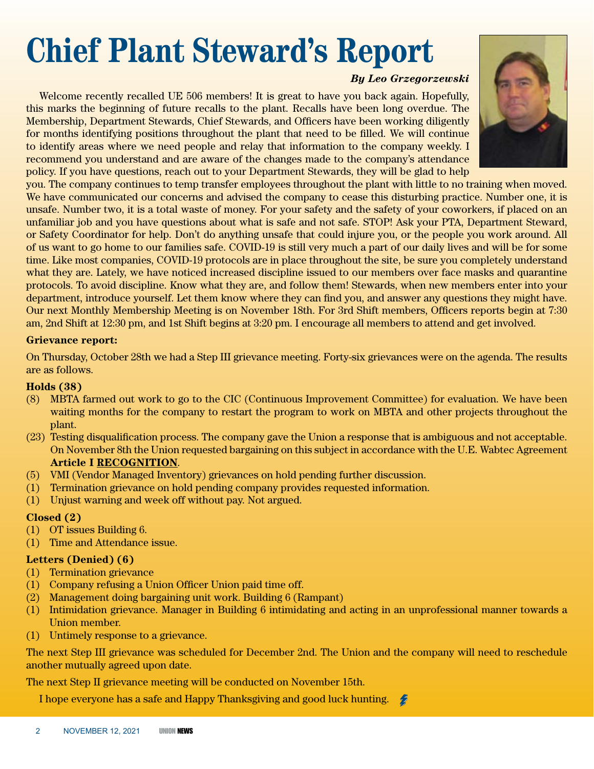# **Chief Plant Steward's Report**

*By Leo Grzegorzewski*

Welcome recently recalled UE 506 members! It is great to have you back again. Hopefully, this marks the beginning of future recalls to the plant. Recalls have been long overdue. The Membership, Department Stewards, Chief Stewards, and Officers have been working diligently for months identifying positions throughout the plant that need to be filled. We will continue to identify areas where we need people and relay that information to the company weekly. I recommend you understand and are aware of the changes made to the company's attendance policy. If you have questions, reach out to your Department Stewards, they will be glad to help



you. The company continues to temp transfer employees throughout the plant with little to no training when moved. We have communicated our concerns and advised the company to cease this disturbing practice. Number one, it is unsafe. Number two, it is a total waste of money. For your safety and the safety of your coworkers, if placed on an unfamiliar job and you have questions about what is safe and not safe. STOP! Ask your PTA, Department Steward, or Safety Coordinator for help. Don't do anything unsafe that could injure you, or the people you work around. All of us want to go home to our families safe. COVID-19 is still very much a part of our daily lives and will be for some time. Like most companies, COVID-19 protocols are in place throughout the site, be sure you completely understand what they are. Lately, we have noticed increased discipline issued to our members over face masks and quarantine protocols. To avoid discipline. Know what they are, and follow them! Stewards, when new members enter into your department, introduce yourself. Let them know where they can find you, and answer any questions they might have. Our next Monthly Membership Meeting is on November 18th. For 3rd Shift members, Officers reports begin at 7:30 am, 2nd Shift at 12:30 pm, and 1st Shift begins at 3:20 pm. I encourage all members to attend and get involved.

#### **Grievance report:**

On Thursday, October 28th we had a Step III grievance meeting. Forty-six grievances were on the agenda. The results are as follows.

#### **Holds (38)**

- (8) MBTA farmed out work to go to the CIC (Continuous Improvement Committee) for evaluation. We have been waiting months for the company to restart the program to work on MBTA and other projects throughout the plant.
- (23) Testing disqualification process. The company gave the Union a response that is ambiguous and not acceptable. On November 8th the Union requested bargaining on this subject in accordance with the U.E. Wabtec Agreement **Article I RECOGNITION**.
- (5) VMI (Vendor Managed Inventory) grievances on hold pending further discussion.
- (1) Termination grievance on hold pending company provides requested information.
- (1) Unjust warning and week off without pay. Not argued.

#### **Closed (2)**

- (1) OT issues Building 6.
- (1) Time and Attendance issue.

#### **Letters (Denied) (6)**

- (1) Termination grievance
- (1) Company refusing a Union Officer Union paid time off.
- (2) Management doing bargaining unit work. Building 6 (Rampant)
- (1) Intimidation grievance. Manager in Building 6 intimidating and acting in an unprofessional manner towards a Union member.
- (1) Untimely response to a grievance.

The next Step III grievance was scheduled for December 2nd. The Union and the company will need to reschedule another mutually agreed upon date.

The next Step II grievance meeting will be conducted on November 15th.

I hope everyone has a safe and Happy Thanksgiving and good luck hunting.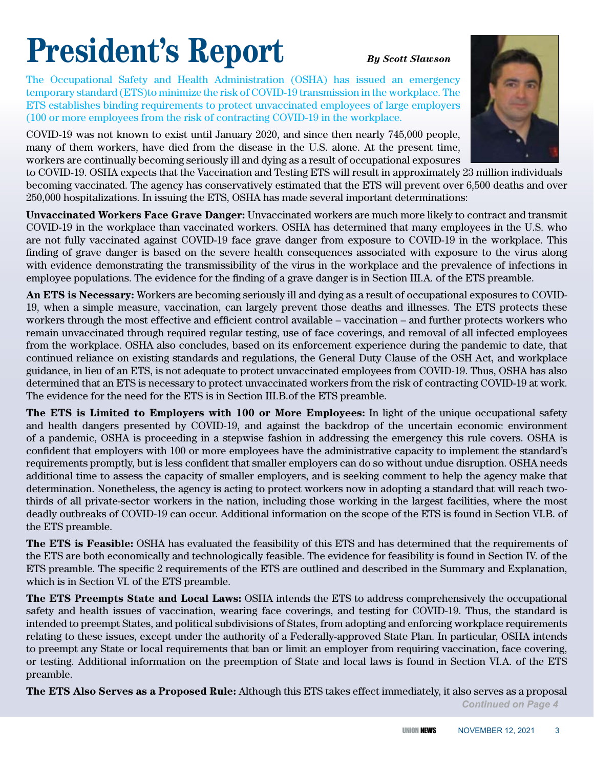# **President's Report** *By Scott Slawson*

The Occupational Safety and Health Administration (OSHA) has issued an emergency temporary standard (ETS)to minimize the risk of COVID-19 transmission in the workplace. The ETS establishes binding requirements to protect unvaccinated employees of large employers (100 or more employees from the risk of contracting COVID-19 in the workplace.

COVID-19 was not known to exist until January 2020, and since then nearly 745,000 people, many of them workers, have died from the disease in the U.S. alone. At the present time, workers are continually becoming seriously ill and dying as a result of occupational exposures

to COVID-19. OSHA expects that the Vaccination and Testing ETS will result in approximately 23 million individuals becoming vaccinated. The agency has conservatively estimated that the ETS will prevent over 6,500 deaths and over 250,000 hospitalizations. In issuing the ETS, OSHA has made several important determinations:

**Unvaccinated Workers Face Grave Danger:** Unvaccinated workers are much more likely to contract and transmit COVID-19 in the workplace than vaccinated workers. OSHA has determined that many employees in the U.S. who are not fully vaccinated against COVID-19 face grave danger from exposure to COVID-19 in the workplace. This finding of grave danger is based on the severe health consequences associated with exposure to the virus along with evidence demonstrating the transmissibility of the virus in the workplace and the prevalence of infections in employee populations. The evidence for the finding of a grave danger is in Section III.A. of the ETS preamble.

**An ETS is Necessary:** Workers are becoming seriously ill and dying as a result of occupational exposures to COVID-19, when a simple measure, vaccination, can largely prevent those deaths and illnesses. The ETS protects these workers through the most effective and efficient control available – vaccination – and further protects workers who remain unvaccinated through required regular testing, use of face coverings, and removal of all infected employees from the workplace. OSHA also concludes, based on its enforcement experience during the pandemic to date, that continued reliance on existing standards and regulations, the General Duty Clause of the OSH Act, and workplace guidance, in lieu of an ETS, is not adequate to protect unvaccinated employees from COVID-19. Thus, OSHA has also determined that an ETS is necessary to protect unvaccinated workers from the risk of contracting COVID-19 at work. The evidence for the need for the ETS is in Section III.B.of the ETS preamble.

**The ETS is Limited to Employers with 100 or More Employees:** In light of the unique occupational safety and health dangers presented by COVID-19, and against the backdrop of the uncertain economic environment of a pandemic, OSHA is proceeding in a stepwise fashion in addressing the emergency this rule covers. OSHA is confident that employers with 100 or more employees have the administrative capacity to implement the standard's requirements promptly, but is less confident that smaller employers can do so without undue disruption. OSHA needs additional time to assess the capacity of smaller employers, and is seeking comment to help the agency make that determination. Nonetheless, the agency is acting to protect workers now in adopting a standard that will reach twothirds of all private-sector workers in the nation, including those working in the largest facilities, where the most deadly outbreaks of COVID-19 can occur. Additional information on the scope of the ETS is found in Section VI.B. of the ETS preamble.

**The ETS is Feasible:** OSHA has evaluated the feasibility of this ETS and has determined that the requirements of the ETS are both economically and technologically feasible. The evidence for feasibility is found in Section IV. of the ETS preamble. The specific 2 requirements of the ETS are outlined and described in the Summary and Explanation, which is in Section VI. of the ETS preamble.

**The ETS Preempts State and Local Laws:** OSHA intends the ETS to address comprehensively the occupational safety and health issues of vaccination, wearing face coverings, and testing for COVID-19. Thus, the standard is intended to preempt States, and political subdivisions of States, from adopting and enforcing workplace requirements relating to these issues, except under the authority of a Federally-approved State Plan. In particular, OSHA intends to preempt any State or local requirements that ban or limit an employer from requiring vaccination, face covering, or testing. Additional information on the preemption of State and local laws is found in Section VI.A. of the ETS preamble.

**The ETS Also Serves as a Proposed Rule:** Although this ETS takes effect immediately, it also serves as a proposal

*Continued on page 4*

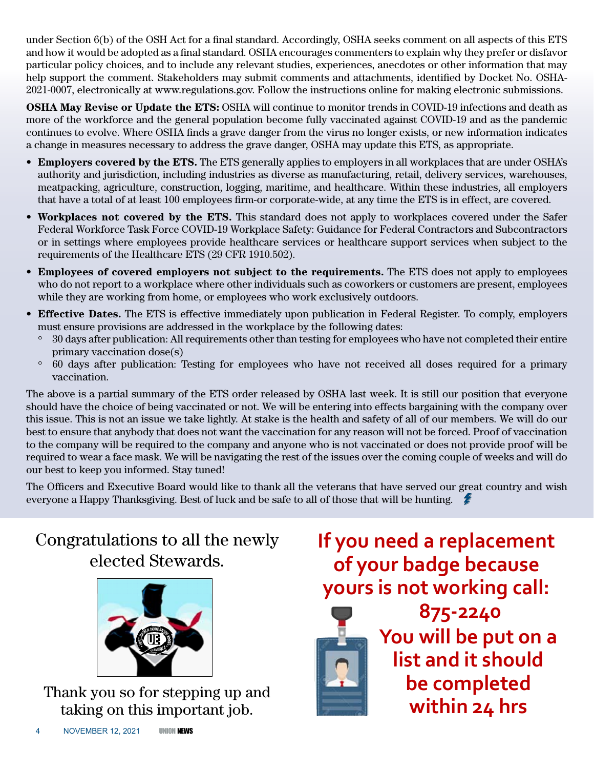under Section 6(b) of the OSH Act for a final standard. Accordingly, OSHA seeks comment on all aspects of this ETS and how it would be adopted as a final standard. OSHA encourages commenters to explain why they prefer or disfavor particular policy choices, and to include any relevant studies, experiences, anecdotes or other information that may help support the comment. Stakeholders may submit comments and attachments, identified by Docket No. OSHA-2021-0007, electronically at www.regulations.gov. Follow the instructions online for making electronic submissions.

**OSHA May Revise or Update the ETS:** OSHA will continue to monitor trends in COVID-19 infections and death as more of the workforce and the general population become fully vaccinated against COVID-19 and as the pandemic continues to evolve. Where OSHA finds a grave danger from the virus no longer exists, or new information indicates a change in measures necessary to address the grave danger, OSHA may update this ETS, as appropriate.

- • **Employers covered by the ETS.** The ETS generally applies to employers in all workplaces that are under OSHA's authority and jurisdiction, including industries as diverse as manufacturing, retail, delivery services, warehouses, meatpacking, agriculture, construction, logging, maritime, and healthcare. Within these industries, all employers that have a total of at least 100 employees firm-or corporate-wide, at any time the ETS is in effect, are covered.
- **Workplaces not covered by the ETS.** This standard does not apply to workplaces covered under the Safer Federal Workforce Task Force COVID-19 Workplace Safety: Guidance for Federal Contractors and Subcontractors or in settings where employees provide healthcare services or healthcare support services when subject to the requirements of the Healthcare ETS (29 CFR 1910.502).
- • **Employees of covered employers not subject to the requirements.** The ETS does not apply to employees who do not report to a workplace where other individuals such as coworkers or customers are present, employees while they are working from home, or employees who work exclusively outdoors.
- • **Effective Dates.** The ETS is effective immediately upon publication in Federal Register. To comply, employers must ensure provisions are addressed in the workplace by the following dates:
	- ° 30 days after publication: All requirements other than testing for employees who have not completed their entire primary vaccination dose(s)
	- ° 60 days after publication: Testing for employees who have not received all doses required for a primary vaccination.

The above is a partial summary of the ETS order released by OSHA last week. It is still our position that everyone should have the choice of being vaccinated or not. We will be entering into effects bargaining with the company over this issue. This is not an issue we take lightly. At stake is the health and safety of all of our members. We will do our best to ensure that anybody that does not want the vaccination for any reason will not be forced. Proof of vaccination to the company will be required to the company and anyone who is not vaccinated or does not provide proof will be required to wear a face mask. We will be navigating the rest of the issues over the coming couple of weeks and will do our best to keep you informed. Stay tuned!

The Officers and Executive Board would like to thank all the veterans that have served our great country and wish everyone a Happy Thanksgiving. Best of luck and be safe to all of those that will be hunting.

### Congratulations to all the newly elected Stewards.



Thank you so for stepping up and taking on this important job.

## **If you need a replacement of your badge because yours is not working call:**



**875-2240 You will be put on a list and it should be completed within 24 hrs**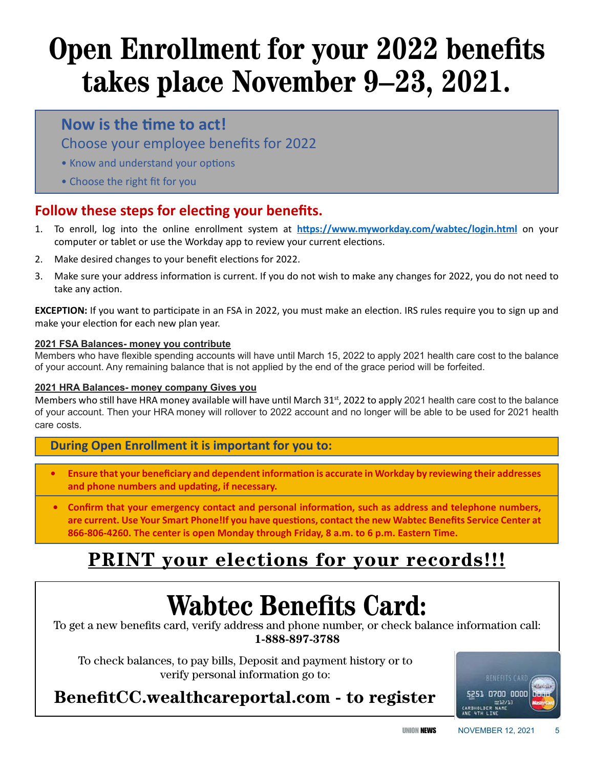# **Open Enrollment for your 2022 benefits takes place November 9–23, 2021.**

#### **Now is the time to act!**

Choose your employee benefits for 2022

- Know and understand your options
- Choose the right fit for you

#### **Follow these steps for electing your benefits.**

- 1. To enroll, log into the online enrollment system at **https://www.myworkday.com/wabtec/login.html** on your computer or tablet or use the Workday app to review your current elections.
- 2. Make desired changes to your benefit elections for 2022.
- 3. Make sure your address information is current. If you do not wish to make any changes for 2022, you do not need to take any action.

**EXCEPTION:** If you want to participate in an FSA in 2022, you must make an election. IRS rules require you to sign up and make your election for each new plan year.

#### **2021 FSA Balances- money you contribute**

Members who have flexible spending accounts will have until March 15, 2022 to apply 2021 health care cost to the balance of your account. Any remaining balance that is not applied by the end of the grace period will be forfeited.

#### **2021 HRA Balances- money company Gives you**

Members who still have HRA money available will have until March 31<sup>st</sup>, 2022 to apply 2021 health care cost to the balance of your account. Then your HRA money will rollover to 2022 account and no longer will be able to be used for 2021 health care costs.

#### **During Open Enrollment it is important for you to:**

- **• Ensure that your beneficiary and dependent information is accurate in Workday by reviewing their addresses and phone numbers and updating, if necessary.**
- **• Confirm that your emergency contact and personal information, such as address and telephone numbers, are current. Use Your Smart Phone!If you have questions, contact the new Wabtec Benefits Service Center at 866-806-4260. The center is open Monday through Friday, 8 a.m. to 6 p.m. Eastern Time.**

### **PRINT your elections for your records!!!**

# **Wabtec Benefits Card:**

To get a new benefits card, verify address and phone number, or check balance information call: **1-888-897-3788**

To check balances, to pay bills, Deposit and payment history or to verify personal information go to:

### **BenefitCC.wealthcareportal.com - to register**